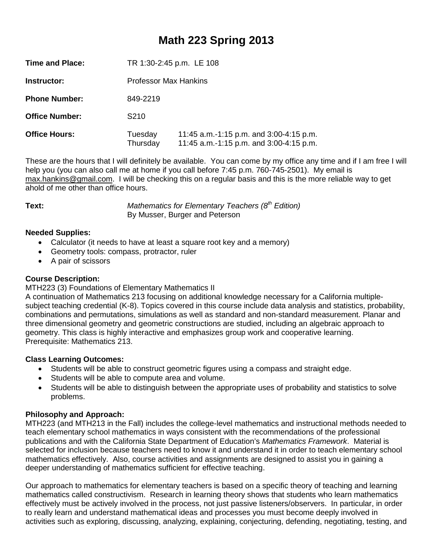## **Math 223 Spring 2013**

| TR 1:30-2:45 p.m. LE 108     |                                                                                    |  |  |  |
|------------------------------|------------------------------------------------------------------------------------|--|--|--|
| <b>Professor Max Hankins</b> |                                                                                    |  |  |  |
| 849-2219                     |                                                                                    |  |  |  |
| S <sub>210</sub>             |                                                                                    |  |  |  |
| Tuesday<br>Thursday          | 11:45 a.m.-1:15 p.m. and 3:00-4:15 p.m.<br>11:45 a.m.-1:15 p.m. and 3:00-4:15 p.m. |  |  |  |
|                              |                                                                                    |  |  |  |

These are the hours that I will definitely be available. You can come by my office any time and if I am free I will help you (you can also call me at home if you call before 7:45 p.m. 760-745-2501). My email is [max.hankins@gmail.com.](mailto:max.hankins@gmail.com) I will be checking this on a regular basis and this is the more reliable way to get ahold of me other than office hours.

**Text:** *Mathematics for Elementary Teachers (8<sup>th</sup> Edition)* By Musser, Burger and Peterson

### **Needed Supplies:**

- Calculator (it needs to have at least a square root key and a memory)
- Geometry tools: compass, protractor, ruler
- A pair of scissors

#### **Course Description:**

#### MTH223 (3) Foundations of Elementary Mathematics II

A continuation of Mathematics 213 focusing on additional knowledge necessary for a California multiplesubject teaching credential (K-8). Topics covered in this course include data analysis and statistics, probability, combinations and permutations, simulations as well as standard and non-standard measurement. Planar and three dimensional geometry and geometric constructions are studied, including an algebraic approach to geometry. This class is highly interactive and emphasizes group work and cooperative learning. Prerequisite: Mathematics 213.

#### **Class Learning Outcomes:**

- Students will be able to construct geometric figures using a compass and straight edge.
- Students will be able to compute area and volume.
- Students will be able to distinguish between the appropriate uses of probability and statistics to solve problems.

#### **Philosophy and Approach:**

MTH223 (and MTH213 in the Fall) includes the college-level mathematics and instructional methods needed to teach elementary school mathematics in ways consistent with the recommendations of the professional publications and with the California State Department of Education's *Mathematics Framework*. Material is selected for inclusion because teachers need to know it and understand it in order to teach elementary school mathematics effectively. Also, course activities and assignments are designed to assist you in gaining a deeper understanding of mathematics sufficient for effective teaching.

Our approach to mathematics for elementary teachers is based on a specific theory of teaching and learning mathematics called constructivism. Research in learning theory shows that students who learn mathematics effectively must be actively involved in the process, not just passive listeners/observers. In particular, in order to really learn and understand mathematical ideas and processes you must become deeply involved in activities such as exploring, discussing, analyzing, explaining, conjecturing, defending, negotiating, testing, and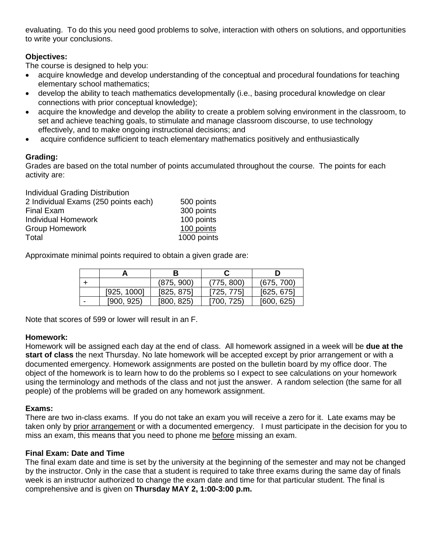evaluating. To do this you need good problems to solve, interaction with others on solutions, and opportunities to write your conclusions.

### **Objectives:**

The course is designed to help you:

- acquire knowledge and develop understanding of the conceptual and procedural foundations for teaching elementary school mathematics;
- develop the ability to teach mathematics developmentally (i.e., basing procedural knowledge on clear connections with prior conceptual knowledge);
- acquire the knowledge and develop the ability to create a problem solving environment in the classroom, to set and achieve teaching goals, to stimulate and manage classroom discourse, to use technology effectively, and to make ongoing instructional decisions; and
- acquire confidence sufficient to teach elementary mathematics positively and enthusiastically

#### **Grading:**

Grades are based on the total number of points accumulated throughout the course. The points for each activity are:

| Individual Grading Distribution      |             |
|--------------------------------------|-------------|
| 2 Individual Exams (250 points each) | 500 points  |
| <b>Final Exam</b>                    | 300 points  |
| <b>Individual Homework</b>           | 100 points  |
| <b>Group Homework</b>                | 100 points  |
| Total                                | 1000 points |

Approximate minimal points required to obtain a given grade are:

|   |             | (875, 900) | (775, 800) | (675, 700) |  |
|---|-------------|------------|------------|------------|--|
|   | [925, 1000] | [825, 875] | [725, 775] | [625, 675] |  |
| - | [900, 925]  | [800, 825] | [700, 725] | [600, 625] |  |

Note that scores of 599 or lower will result in an F.

#### **Homework:**

Homework will be assigned each day at the end of class. All homework assigned in a week will be **due at the start of class** the next Thursday. No late homework will be accepted except by prior arrangement or with a documented emergency. Homework assignments are posted on the bulletin board by my office door. The object of the homework is to learn how to do the problems so I expect to see calculations on your homework using the terminology and methods of the class and not just the answer. A random selection (the same for all people) of the problems will be graded on any homework assignment.

#### **Exams:**

There are two in-class exams. If you do not take an exam you will receive a zero for it. Late exams may be taken only by prior arrangement or with a documented emergency. I must participate in the decision for you to miss an exam, this means that you need to phone me before missing an exam.

#### **Final Exam: Date and Time**

The final exam date and time is set by the university at the beginning of the semester and may not be changed by the instructor. Only in the case that a student is required to take three exams during the same day of finals week is an instructor authorized to change the exam date and time for that particular student. The final is comprehensive and is given on **Thursday MAY 2, 1:00-3:00 p.m.**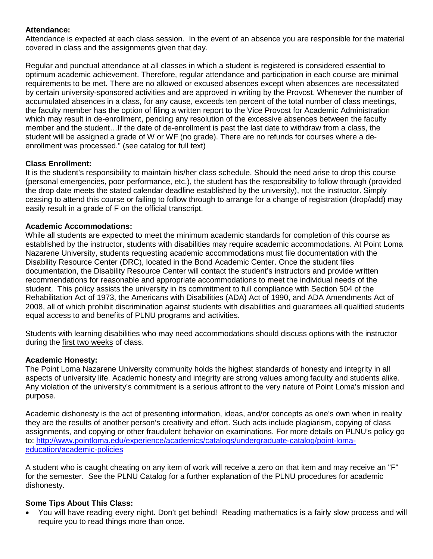#### **Attendance:**

Attendance is expected at each class session. In the event of an absence you are responsible for the material covered in class and the assignments given that day.

Regular and punctual attendance at all classes in which a student is registered is considered essential to optimum academic achievement. Therefore, regular attendance and participation in each course are minimal requirements to be met. There are no allowed or excused absences except when absences are necessitated by certain university-sponsored activities and are approved in writing by the Provost. Whenever the number of accumulated absences in a class, for any cause, exceeds ten percent of the total number of class meetings, the faculty member has the option of filing a written report to the Vice Provost for Academic Administration which may result in de-enrollment, pending any resolution of the excessive absences between the faculty member and the student…If the date of de-enrollment is past the last date to withdraw from a class, the student will be assigned a grade of W or WF (no grade). There are no refunds for courses where a deenrollment was processed." (see catalog for full text)

### **Class Enrollment:**

It is the student's responsibility to maintain his/her class schedule. Should the need arise to drop this course (personal emergencies, poor performance, etc.), the student has the responsibility to follow through (provided the drop date meets the stated calendar deadline established by the university), not the instructor. Simply ceasing to attend this course or failing to follow through to arrange for a change of registration (drop/add) may easily result in a grade of F on the official transcript.

#### **Academic Accommodations:**

While all students are expected to meet the minimum academic standards for completion of this course as established by the instructor, students with disabilities may require academic accommodations. At Point Loma Nazarene University, students requesting academic accommodations must file documentation with the Disability Resource Center (DRC), located in the Bond Academic Center. Once the student files documentation, the Disability Resource Center will contact the student's instructors and provide written recommendations for reasonable and appropriate accommodations to meet the individual needs of the student. This policy assists the university in its commitment to full compliance with Section 504 of the Rehabilitation Act of 1973, the Americans with Disabilities (ADA) Act of 1990, and ADA Amendments Act of 2008, all of which prohibit discrimination against students with disabilities and guarantees all qualified students equal access to and benefits of PLNU programs and activities.

Students with learning disabilities who may need accommodations should discuss options with the instructor during the first two weeks of class.

#### **Academic Honesty:**

The Point Loma Nazarene University community holds the highest standards of honesty and integrity in all aspects of university life. Academic honesty and integrity are strong values among faculty and students alike. Any violation of the university's commitment is a serious affront to the very nature of Point Loma's mission and purpose.

Academic dishonesty is the act of presenting information, ideas, and/or concepts as one's own when in reality they are the results of another person's creativity and effort. Such acts include plagiarism, copying of class assignments, and copying or other fraudulent behavior on examinations. For more details on PLNU's policy go to: [http://www.pointloma.edu/experience/academics/catalogs/undergraduate-catalog/point-loma](http://www.pointloma.edu/experience/academics/catalogs/undergraduate-catalog/point-loma-education/academic-policies)[education/academic-policies](http://www.pointloma.edu/experience/academics/catalogs/undergraduate-catalog/point-loma-education/academic-policies)

A student who is caught cheating on any item of work will receive a zero on that item and may receive an "F" for the semester. See the PLNU Catalog for a further explanation of the PLNU procedures for academic dishonesty.

### **Some Tips About This Class:**

• You will have reading every night. Don't get behind! Reading mathematics is a fairly slow process and will require you to read things more than once.